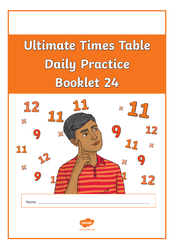# **Ultimate Times Table Daily Practice Booklet 24**

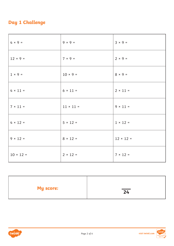## **Day 1 Challenge**

| $4 \times 9 =$   | $9 \times 9 =$   | $3 \times 9 =$   |
|------------------|------------------|------------------|
| $12 \times 9 =$  | $7 × 9 =$        | $2 × 9 =$        |
| $1 \times 9 =$   | $10 × 9 =$       | $8 \times 9 =$   |
| $4 \times 11 =$  | $6 \times 11 =$  | $2 \times 11 =$  |
| $7 \times 11 =$  | $11 \times 11 =$ | $9 \times 11 =$  |
| $4 \times 12 =$  | $5 \times 12 =$  | $1 \times 12 =$  |
| $9 \times 12 =$  | $8 \times 12 =$  | $12 \times 12 =$ |
| $10 \times 12 =$ | $2 \times 12 =$  | $7 × 12 =$       |

| <b>My score:</b> | $\overline{24}$ |
|------------------|-----------------|
|                  |                 |

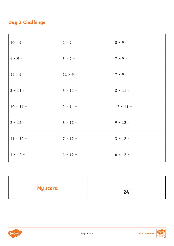## **Day 2 Challenge**

| $10 × 9 =$       | $2 × 9 =$       | $8 × 9 =$        |
|------------------|-----------------|------------------|
| $4 \times 9 =$   | $5 \times 9 =$  | $7 \times 9 =$   |
| $12 \times 9 =$  | $11 \times 9 =$ | $7 × 9 =$        |
| $3 \times 11 =$  | $6 \times 11 =$ | $8 \times 11 =$  |
| $10 \times 11 =$ | $2 \times 11 =$ | $12 \times 11 =$ |
| $2 \times 12 =$  | $8 \times 12 =$ | $9 \times 12 =$  |
| $11 \times 12 =$ | $7 \times 12 =$ | $3 \times 12 =$  |
| $1 × 12 =$       | $4 \times 12 =$ | $6 \times 12 =$  |

| <b>My score:</b> | $\overline{24}$ |
|------------------|-----------------|
|                  |                 |



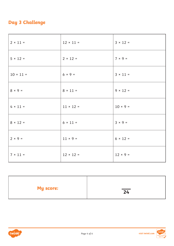## **Day 3 Challenge**

| $2 \times 11 =$  | $12 \times 11 =$ | $3 \times 12 =$ |
|------------------|------------------|-----------------|
| $5 \times 12 =$  | $2 \times 12 =$  | $7 × 9 =$       |
| $10 \times 11 =$ | $6 × 9 =$        | $3 \times 11 =$ |
| $8 \times 9 =$   | $8 \times 11 =$  | $9 \times 12 =$ |
| $4 \times 11 =$  | $11 \times 12 =$ | $10 × 9 =$      |
| $8 \times 12 =$  | $6 \times 11 =$  | $3 × 9 =$       |
| $2 × 9 =$        | $11 \times 9 =$  | $6 \times 12 =$ |
| $7 \times 11 =$  | $12 \times 12 =$ | $12 \times 9 =$ |

| <b>My score:</b> | $\overline{24}$ |
|------------------|-----------------|
|                  |                 |



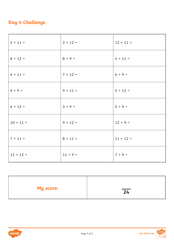## **Day 4 Challenge**

| $3 \times 11 =$  | $2 \times 12 =$ | $12 \times 11 =$ |
|------------------|-----------------|------------------|
| $8 \times 12 =$  | $8 × 9 =$       | $4 \times 11 =$  |
| $6 \times 11 =$  | $7 × 12 =$      | $6 × 9 =$        |
| $9 \times 9 =$   | $9 \times 11 =$ | $5 \times 12 =$  |
| $6 \times 12 =$  | $3 × 9 =$       | $5 \times 9 =$   |
| $10 \times 11 =$ | $9 \times 12 =$ | $12 \times 9 =$  |
| $7 \times 11 =$  | $8 \times 11 =$ | $11 \times 12 =$ |
| $12 \times 12 =$ | $11 × 9 =$      | $7 × 9 =$        |

| <b>My score:</b> | $\overline{24}$ |
|------------------|-----------------|
|                  |                 |

Page 5 of 6